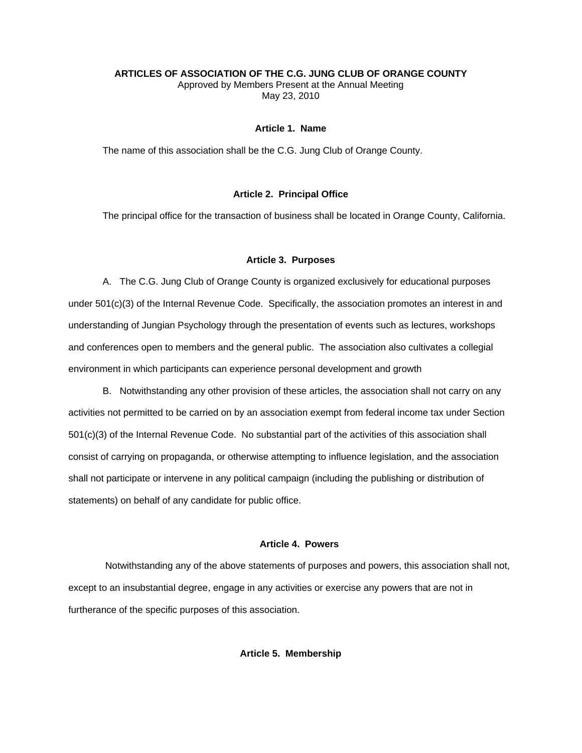#### **ARTICLES OF ASSOCIATION OF THE C.G. JUNG CLUB OF ORANGE COUNTY**

Approved by Members Present at the Annual Meeting May 23, 2010

# **Article 1. Name**

The name of this association shall be the C.G. Jung Club of Orange County.

### **Article 2. Principal Office**

The principal office for the transaction of business shall be located in Orange County, California.

#### **Article 3. Purposes**

A. The C.G. Jung Club of Orange County is organized exclusively for educational purposes under 501(c)(3) of the Internal Revenue Code. Specifically, the association promotes an interest in and understanding of Jungian Psychology through the presentation of events such as lectures, workshops and conferences open to members and the general public. The association also cultivates a collegial environment in which participants can experience personal development and growth

B. Notwithstanding any other provision of these articles, the association shall not carry on any activities not permitted to be carried on by an association exempt from federal income tax under Section 501(c)(3) of the Internal Revenue Code. No substantial part of the activities of this association shall consist of carrying on propaganda, or otherwise attempting to influence legislation, and the association shall not participate or intervene in any political campaign (including the publishing or distribution of statements) on behalf of any candidate for public office.

# **Article 4. Powers**

 Notwithstanding any of the above statements of purposes and powers, this association shall not, except to an insubstantial degree, engage in any activities or exercise any powers that are not in furtherance of the specific purposes of this association.

# **Article 5. Membership**